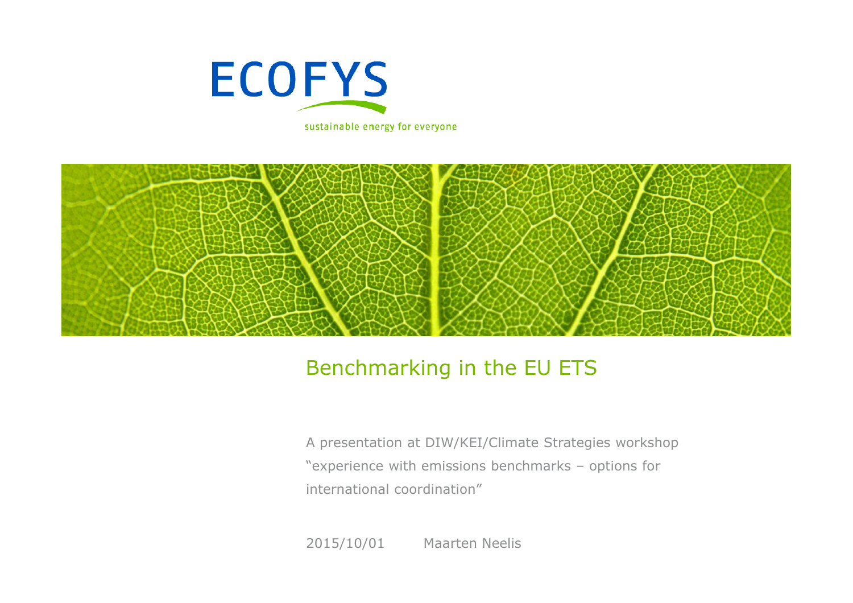

sustainable energy for everyone



### Benchmarking in the EU ETS

A presentation at DIW/KEI/Climate Strategies workshop "experience with emissions benchmarks – options for international coordination"

2015/10/01Maarten Neelis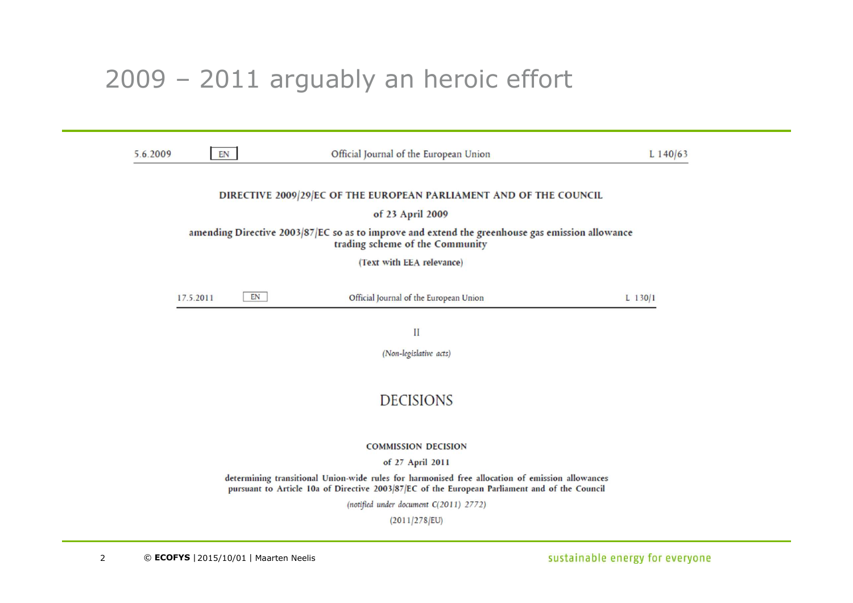### 2009 – 2011 arguably an heroic effort

| 5.6.2009                                                                                                                           | EN              | Official Journal of the European Union                                                                                                                                                           | $L$ 140/63 |  |  |
|------------------------------------------------------------------------------------------------------------------------------------|-----------------|--------------------------------------------------------------------------------------------------------------------------------------------------------------------------------------------------|------------|--|--|
|                                                                                                                                    |                 | DIRECTIVE 2009/29/EC OF THE EUROPEAN PARLIAMENT AND OF THE COUNCIL                                                                                                                               |            |  |  |
|                                                                                                                                    |                 | of 23 April 2009                                                                                                                                                                                 |            |  |  |
| amending Directive 2003/87/EC so as to improve and extend the greenhouse gas emission allowance<br>trading scheme of the Community |                 |                                                                                                                                                                                                  |            |  |  |
|                                                                                                                                    |                 | (Text with EEA relevance)                                                                                                                                                                        |            |  |  |
|                                                                                                                                    | EN<br>17.5.2011 | Official Journal of the European Union                                                                                                                                                           | L $130/1$  |  |  |
|                                                                                                                                    |                 | П                                                                                                                                                                                                |            |  |  |
|                                                                                                                                    |                 | (Non-legislative acts)                                                                                                                                                                           |            |  |  |
|                                                                                                                                    |                 |                                                                                                                                                                                                  |            |  |  |
|                                                                                                                                    |                 | <b>DECISIONS</b>                                                                                                                                                                                 |            |  |  |
|                                                                                                                                    |                 |                                                                                                                                                                                                  |            |  |  |
|                                                                                                                                    |                 | <b>COMMISSION DECISION</b>                                                                                                                                                                       |            |  |  |
|                                                                                                                                    |                 | of 27 April 2011                                                                                                                                                                                 |            |  |  |
|                                                                                                                                    |                 | determining transitional Union-wide rules for harmonised free allocation of emission allowances<br>pursuant to Article 10a of Directive 2003/87/EC of the European Parliament and of the Council |            |  |  |
|                                                                                                                                    |                 | (notified under document C(2011) 2772)                                                                                                                                                           |            |  |  |
|                                                                                                                                    |                 | (2011/278/EU)                                                                                                                                                                                    |            |  |  |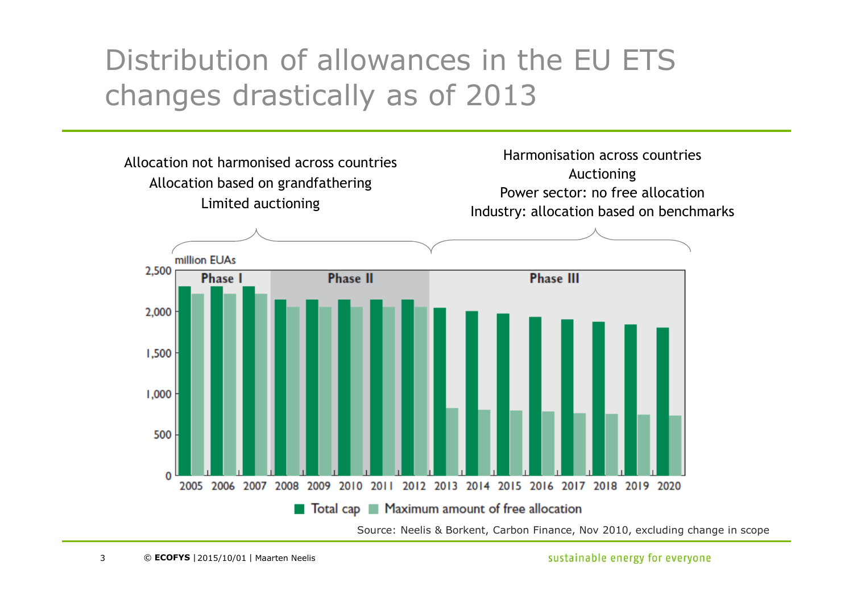# Distribution of allowances in the EU ETS changes drastically as of 2013

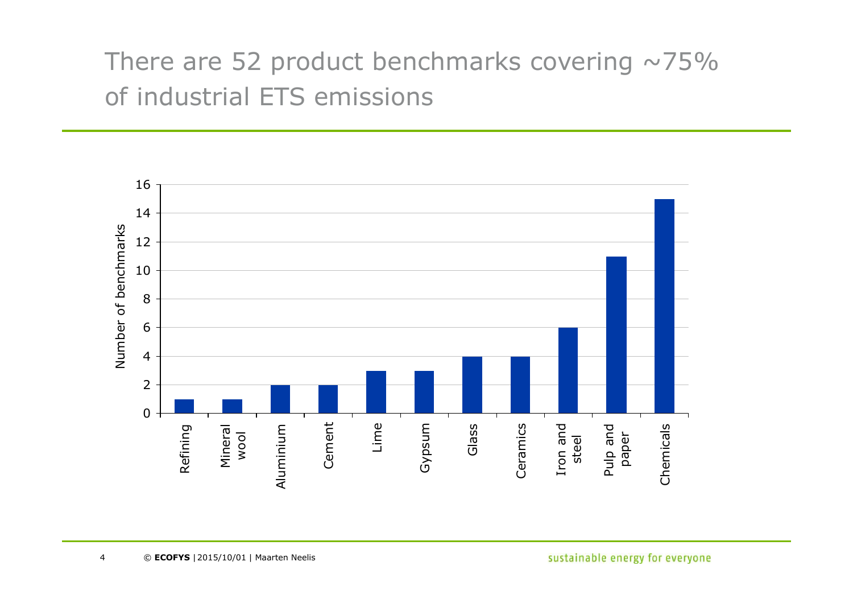# There are 52 product benchmarks covering  $\sim$ 75% of industrial ETS emissions

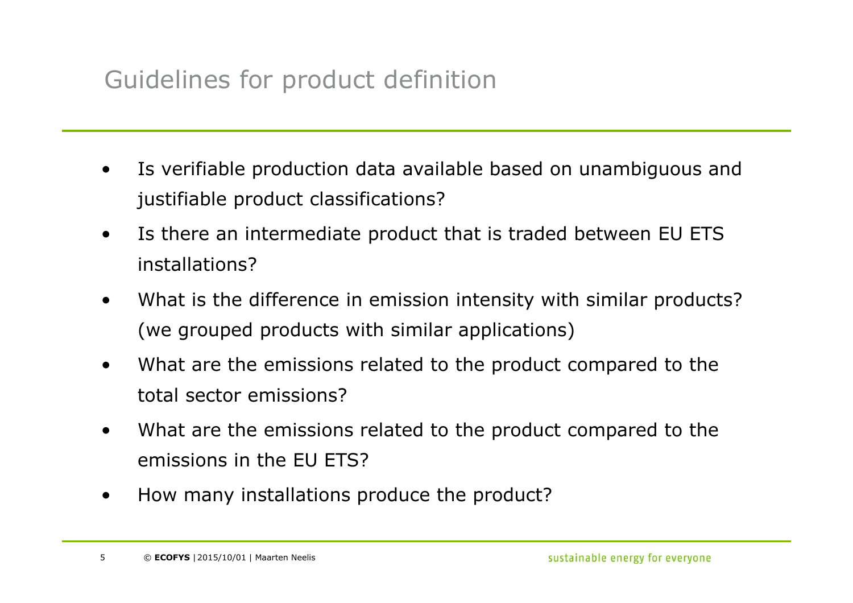## Guidelines for product definition

- • Is verifiable production data available based on unambiguous and justifiable product classifications?
- • Is there an intermediate product that is traded between EU ETS installations?
- • What is the difference in emission intensity with similar products? (we grouped products with similar applications)
- • What are the emissions related to the product compared to the total sector emissions?
- • What are the emissions related to the product compared to the emissions in the EU ETS?
- •How many installations produce the product?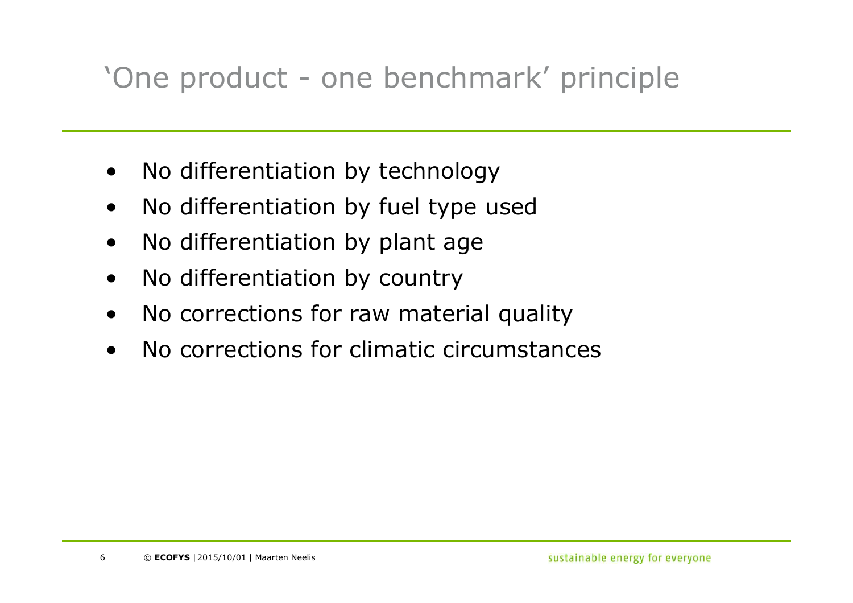# 'One product - one benchmark' principle

- •No differentiation by technology
- •No differentiation by fuel type used
- •No differentiation by plant age
- $\bullet$ No differentiation by country
- •No corrections for raw material quality
- •No corrections for climatic circumstances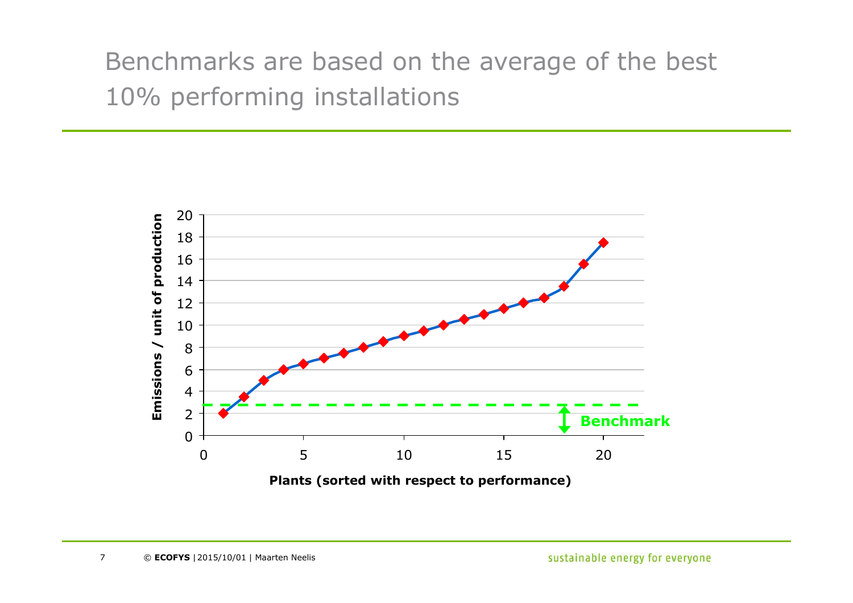# Benchmarks are based on the average of the best 10% performing installations

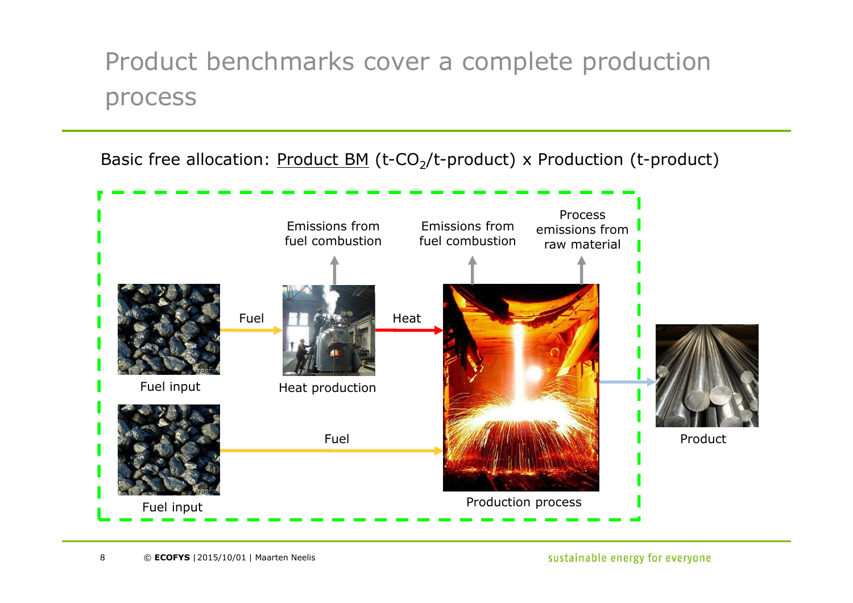## Product benchmarks cover a complete production process

Basic free allocation: Product BM (t-CO<sub>2</sub>/t-product) x Production (t-product)



sustainable energy for everyone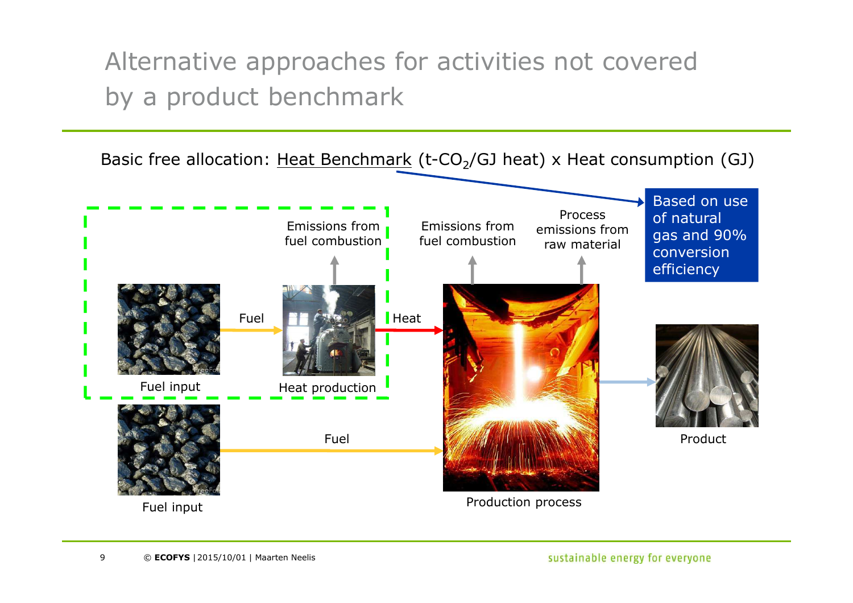Alternative approaches for activities not covered by a product benchmark

Basic free allocation: Heat Benchmark (t-CO<sub>2</sub>/GJ heat) x Heat consumption (GJ)

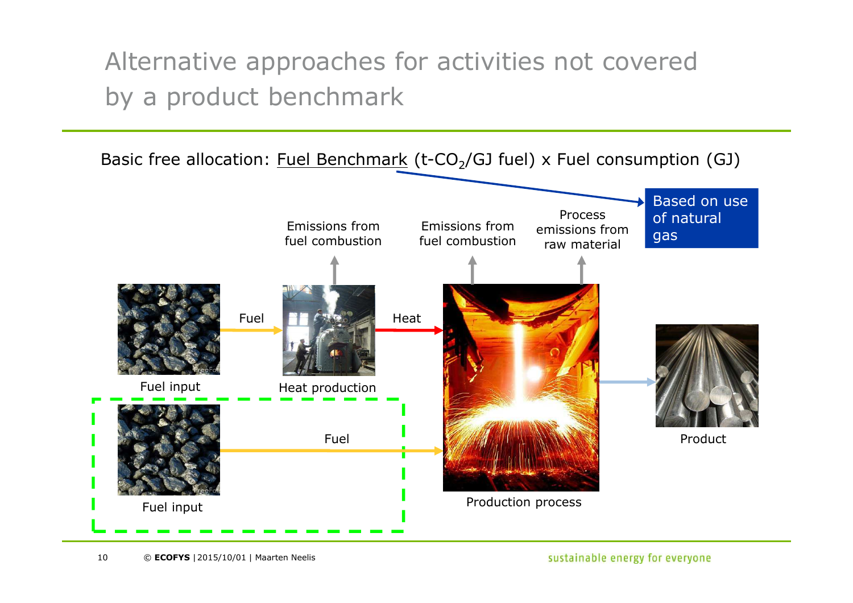Alternative approaches for activities not covered by a product benchmark

Basic free allocation: Fuel Benchmark (t-CO<sub>2</sub>/GJ fuel) x Fuel consumption (GJ)



sustainable energy for everyone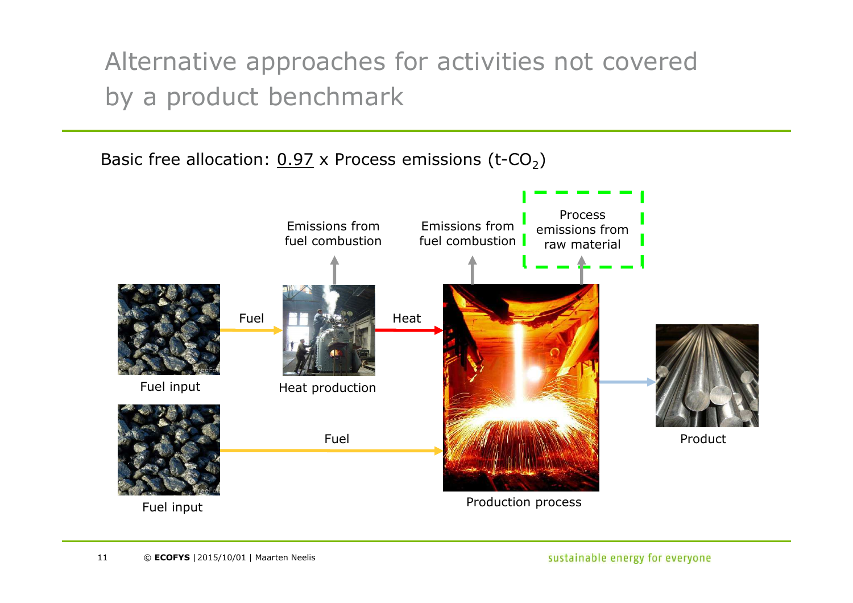Alternative approaches for activities not covered by a product benchmark

Basic free allocation:  $0.97 \times$  Process emissions (t-CO<sub>2</sub>)

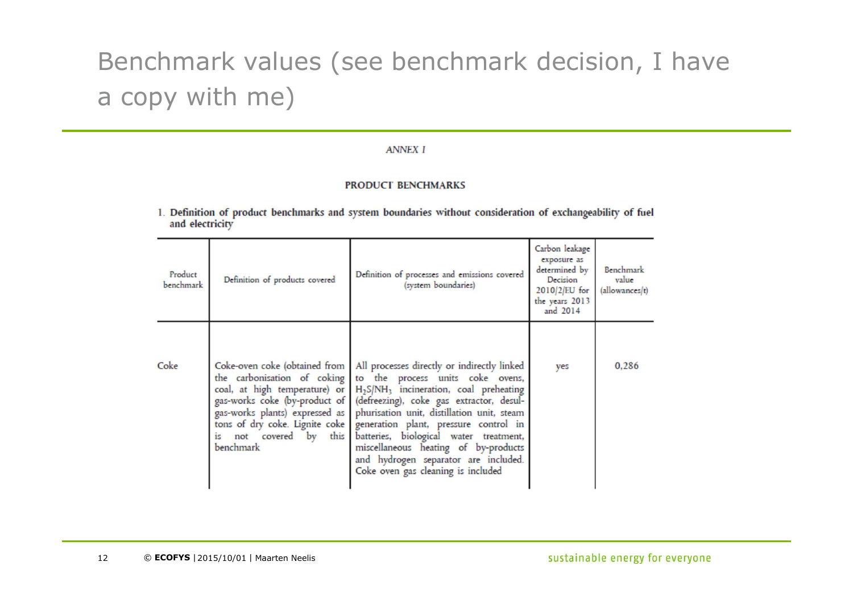# Benchmark values (see benchmark decision, I have a copy with me)

#### **ANNEX I**

#### **PRODUCT BENCHMARKS**

1. Definition of product benchmarks and system boundaries without consideration of exchangeability of fuel and electricity

| Product<br>benchmark | Definition of products covered                                                                                                                                                                                                            | Definition of processes and emissions covered<br>(system boundaries)                                                                                                                                                                                                                                                                                                                                                                                 | Carbon leakage<br>exposure as<br>determined by<br>Decision<br>$2010/2$ /EU for<br>the years 2013<br>and 2014 | Benchmark<br>value<br>(allowances(t) |
|----------------------|-------------------------------------------------------------------------------------------------------------------------------------------------------------------------------------------------------------------------------------------|------------------------------------------------------------------------------------------------------------------------------------------------------------------------------------------------------------------------------------------------------------------------------------------------------------------------------------------------------------------------------------------------------------------------------------------------------|--------------------------------------------------------------------------------------------------------------|--------------------------------------|
| Coke                 | Coke-oven coke (obtained from<br>the carbonisation of coking<br>coal, at high temperature) or<br>gas-works coke (by-product of<br>gas-works plants) expressed as<br>tons of dry coke. Lignite coke<br>is not covered by this<br>benchmark | All processes directly or indirectly linked<br>to the process units coke ovens,<br>H <sub>2</sub> S/NH <sub>3</sub> incineration, coal preheating<br>(defreezing), coke gas extractor, desul-<br>phurisation unit, distillation unit, steam<br>generation plant, pressure control in<br>batteries, biological water treatment,<br>miscellaneous heating of by-products<br>and hydrogen separator are included.<br>Coke oven gas cleaning is included | yes                                                                                                          | 0,286                                |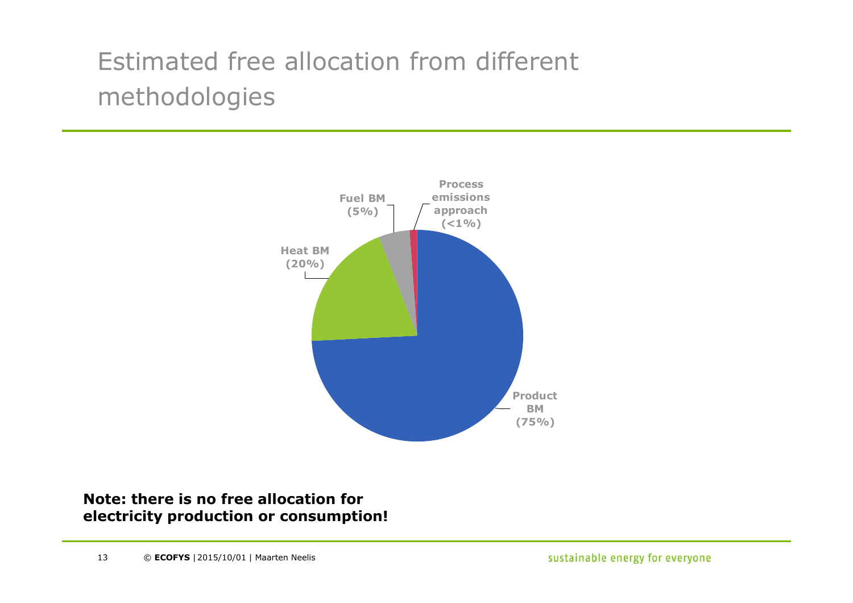# Estimated free allocation from different methodologies



#### **Note: there is no free allocation for electricity production or consumption!**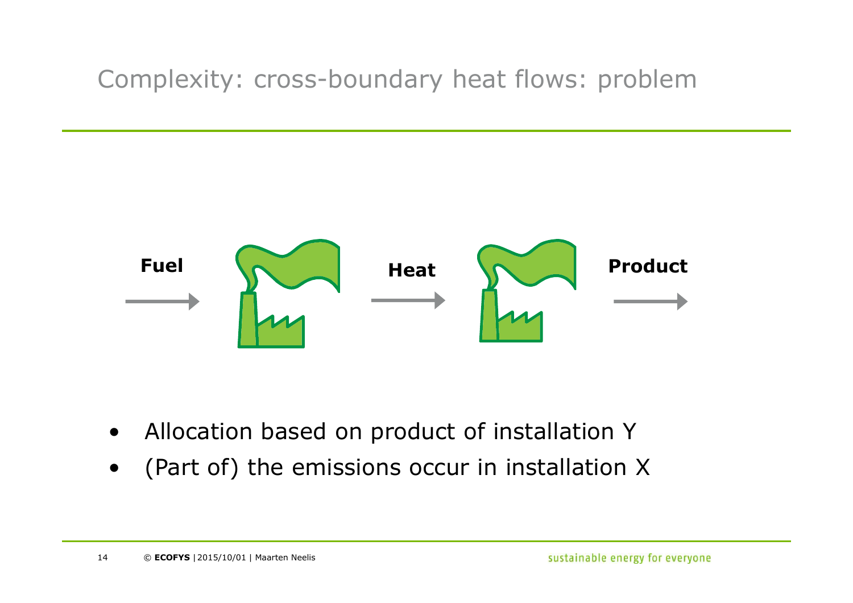## Complexity: cross-boundary heat flows: problem



- •Allocation based on product of installation Y
- •(Part of) the emissions occur in installation X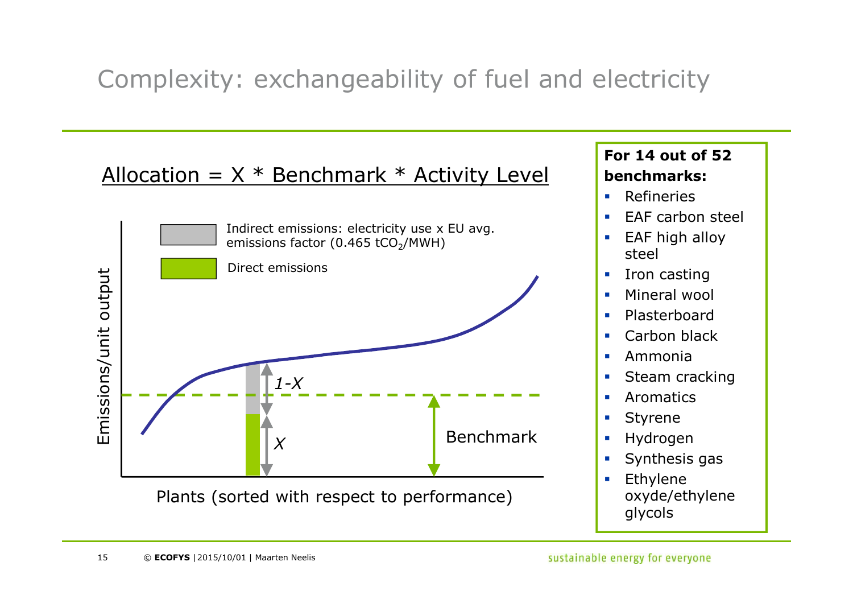## Complexity: exchangeability of fuel and electricity

### Allocation =  $X *$  Benchmark  $*$  Activity Level



#### **For 14 out of 52benchmarks:**

- $\overline{\phantom{a}}$ Refineries
- **EAF** carbon steel  $\mathbf{r}$
- **EAF** high alloy steel
- $\overline{\phantom{a}}$ Iron casting
- **Mineral wool**  $\mathbf{r}$
- $\mathbf{r}$ Plasterboard
- **Carbon black**  $\mathcal{L}_{\mathcal{A}}$
- $\mathcal{L}_{\mathcal{A}}$ Ammonia
- **Steam cracking**  $\mathcal{L}_{\mathcal{A}}$
- $\overline{\phantom{a}}$ Aromatics
- $\overline{\phantom{a}}$ Styrene
- **Hydrogen**  $\mathcal{L}_{\mathcal{A}}$
- **Synthesis gas** ⊔
- $\mathbf{r}$  Ethylene oxyde/ethylene glycols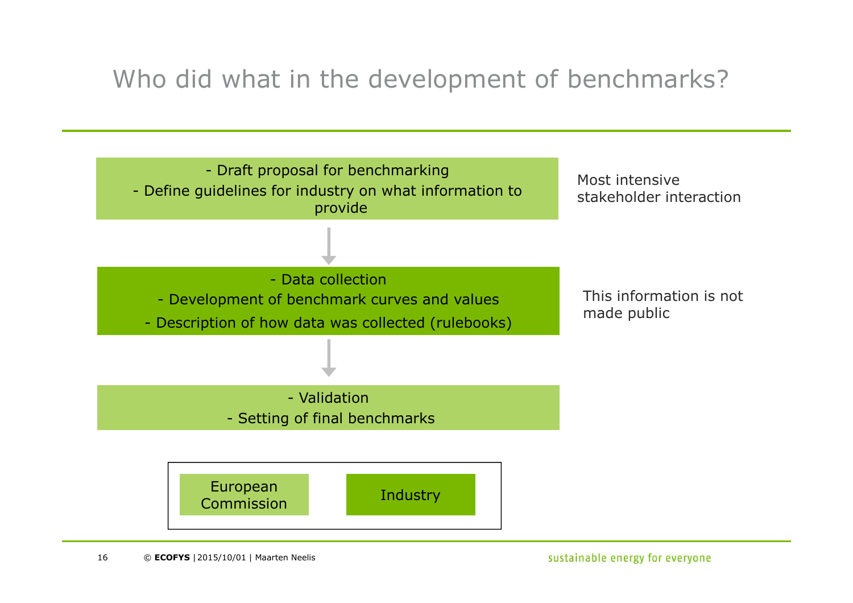## Who did what in the development of benchmarks?

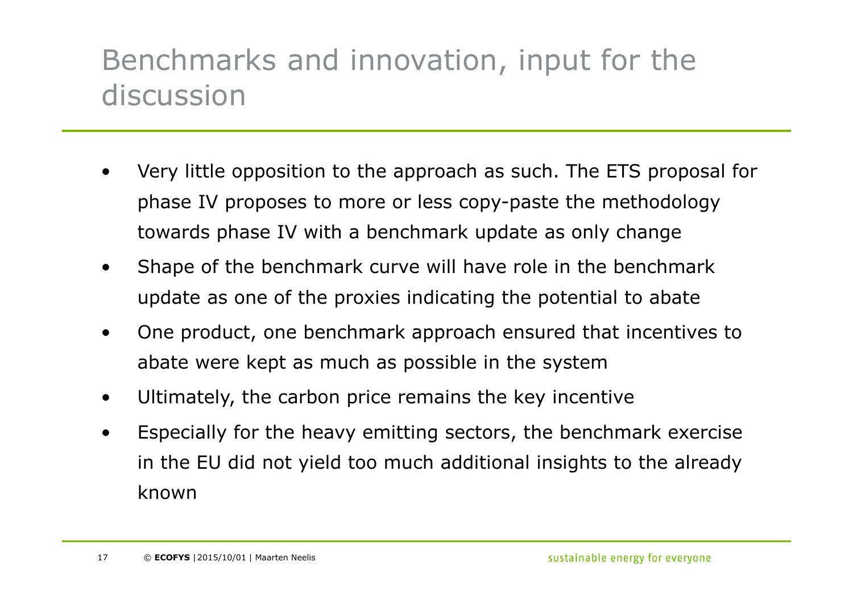# Benchmarks and innovation, input for the discussion

- • Very little opposition to the approach as such. The ETS proposal for phase IV proposes to more or less copy-paste the methodology towards phase IV with a benchmark update as only change
- • Shape of the benchmark curve will have role in the benchmark update as one of the proxies indicating the potential to abate
- • One product, one benchmark approach ensured that incentives to abate were kept as much as possible in the system
- •Ultimately, the carbon price remains the key incentive
- • Especially for the heavy emitting sectors, the benchmark exercise in the EU did not yield too much additional insights to the already known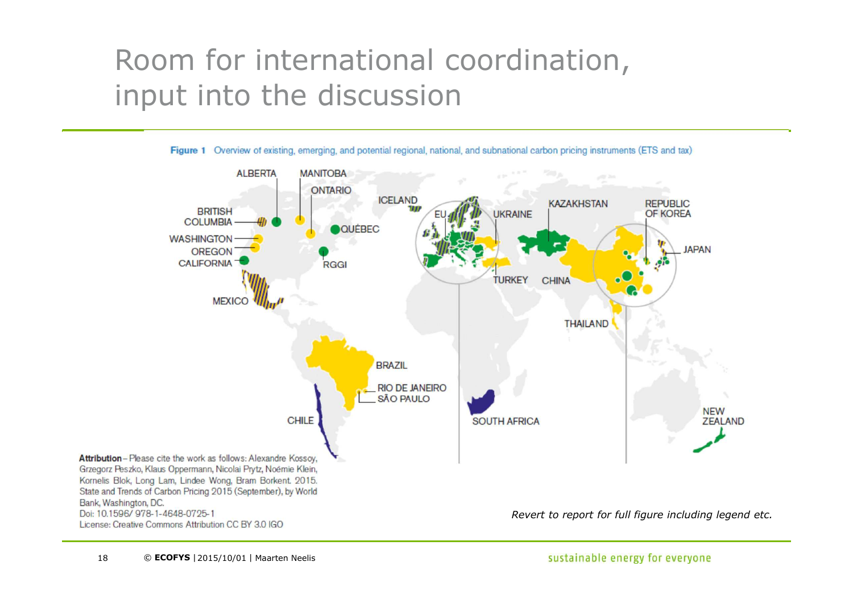# Room for international coordination, input into the discussion



Figure 1 Overview of existing, emerging, and potential regional, national, and subnational carbon pricing instruments (ETS and tax)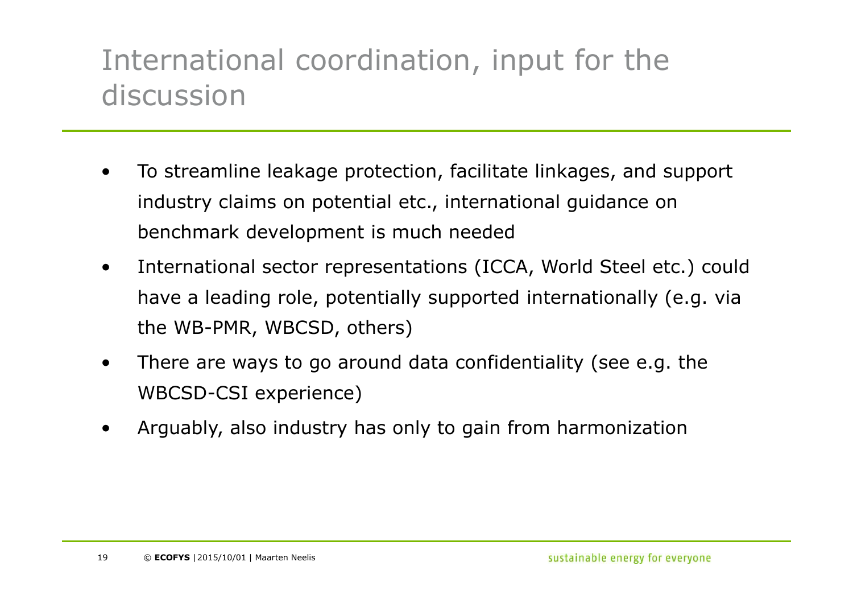# International coordination, input for the discussion

- • To streamline leakage protection, facilitate linkages, and support industry claims on potential etc., international guidance on benchmark development is much needed
- • International sector representations (ICCA, World Steel etc.) could have a leading role, potentially supported internationally (e.g. via the WB-PMR, WBCSD, others)
- • There are ways to go around data confidentiality (see e.g. the WBCSD-CSI experience)
- •Arguably, also industry has only to gain from harmonization